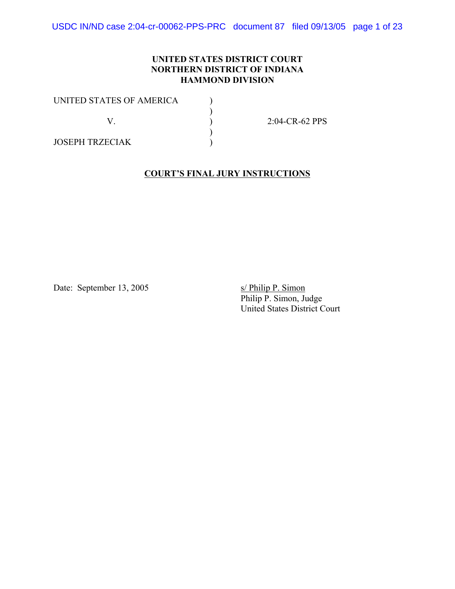USDC IN/ND case 2:04-cr-00062-PPS-PRC document 87 filed 09/13/05 page 1 of 23

### **UNITED STATES DISTRICT COURT NORTHERN DISTRICT OF INDIANA HAMMOND DIVISION**

| UNITED STATES OF AMERICA |                   |
|--------------------------|-------------------|
|                          | $2:04$ -CR-62 PPS |
| JOSEPH TRZECIAK          |                   |

#### **COURT'S FINAL JURY INSTRUCTIONS**

Date: September 13, 2005 s/ Philip P. Simon

Philip P. Simon, Judge United States District Court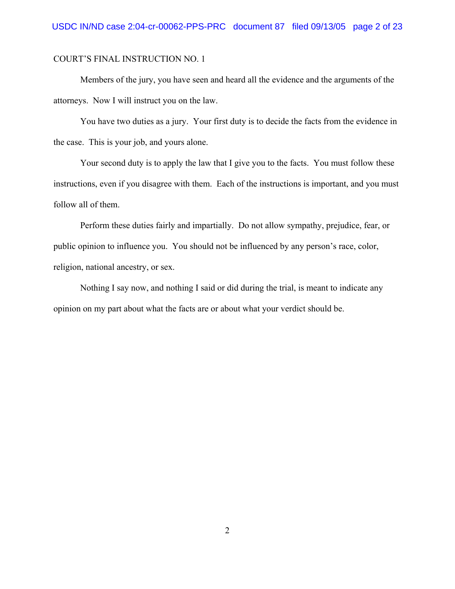Members of the jury, you have seen and heard all the evidence and the arguments of the attorneys. Now I will instruct you on the law.

You have two duties as a jury. Your first duty is to decide the facts from the evidence in the case. This is your job, and yours alone.

Your second duty is to apply the law that I give you to the facts. You must follow these instructions, even if you disagree with them. Each of the instructions is important, and you must follow all of them.

Perform these duties fairly and impartially. Do not allow sympathy, prejudice, fear, or public opinion to influence you. You should not be influenced by any person's race, color, religion, national ancestry, or sex.

Nothing I say now, and nothing I said or did during the trial, is meant to indicate any opinion on my part about what the facts are or about what your verdict should be.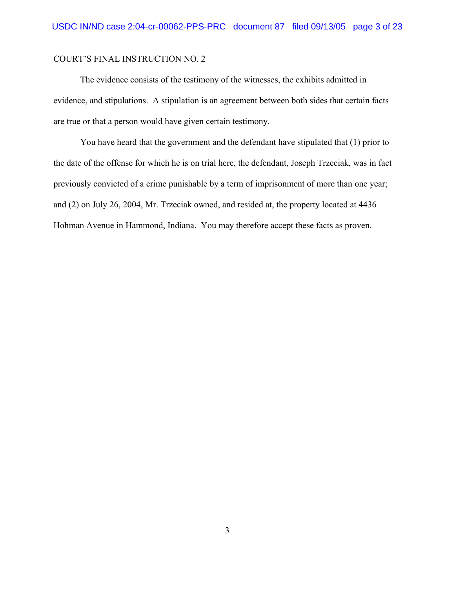The evidence consists of the testimony of the witnesses, the exhibits admitted in evidence, and stipulations. A stipulation is an agreement between both sides that certain facts are true or that a person would have given certain testimony.

You have heard that the government and the defendant have stipulated that (1) prior to the date of the offense for which he is on trial here, the defendant, Joseph Trzeciak, was in fact previously convicted of a crime punishable by a term of imprisonment of more than one year; and (2) on July 26, 2004, Mr. Trzeciak owned, and resided at, the property located at 4436 Hohman Avenue in Hammond, Indiana. You may therefore accept these facts as proven.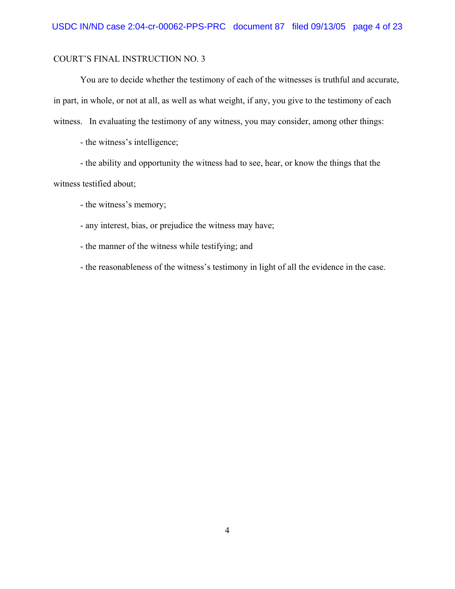You are to decide whether the testimony of each of the witnesses is truthful and accurate, in part, in whole, or not at all, as well as what weight, if any, you give to the testimony of each witness. In evaluating the testimony of any witness, you may consider, among other things:

- the witness's intelligence;

- the ability and opportunity the witness had to see, hear, or know the things that the witness testified about;

- the witness's memory;

- any interest, bias, or prejudice the witness may have;

- the manner of the witness while testifying; and

- the reasonableness of the witness's testimony in light of all the evidence in the case.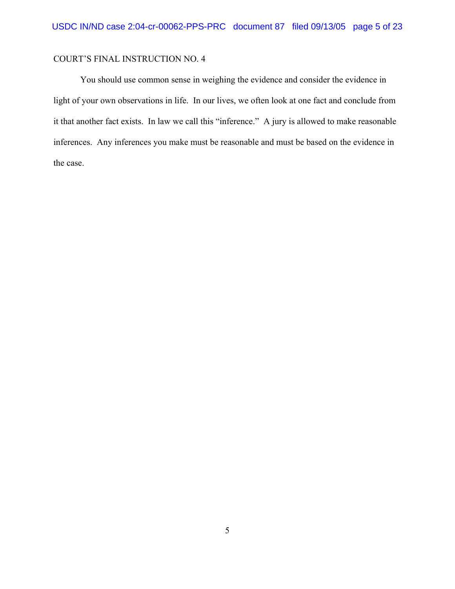You should use common sense in weighing the evidence and consider the evidence in light of your own observations in life. In our lives, we often look at one fact and conclude from it that another fact exists. In law we call this "inference." A jury is allowed to make reasonable inferences. Any inferences you make must be reasonable and must be based on the evidence in the case.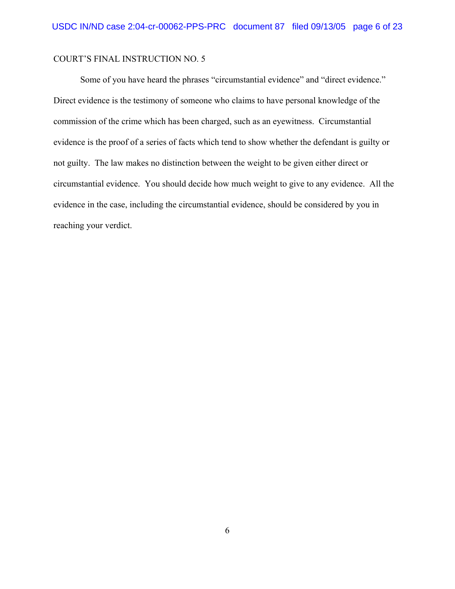Some of you have heard the phrases "circumstantial evidence" and "direct evidence." Direct evidence is the testimony of someone who claims to have personal knowledge of the commission of the crime which has been charged, such as an eyewitness. Circumstantial evidence is the proof of a series of facts which tend to show whether the defendant is guilty or not guilty. The law makes no distinction between the weight to be given either direct or circumstantial evidence. You should decide how much weight to give to any evidence. All the evidence in the case, including the circumstantial evidence, should be considered by you in reaching your verdict.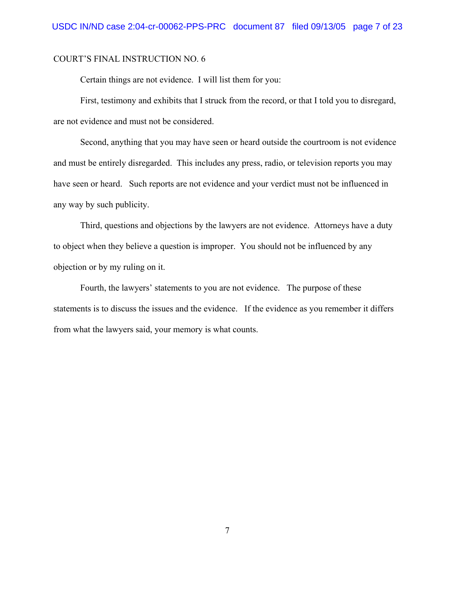Certain things are not evidence. I will list them for you:

First, testimony and exhibits that I struck from the record, or that I told you to disregard, are not evidence and must not be considered.

Second, anything that you may have seen or heard outside the courtroom is not evidence and must be entirely disregarded. This includes any press, radio, or television reports you may have seen or heard. Such reports are not evidence and your verdict must not be influenced in any way by such publicity.

Third, questions and objections by the lawyers are not evidence. Attorneys have a duty to object when they believe a question is improper. You should not be influenced by any objection or by my ruling on it.

Fourth, the lawyers' statements to you are not evidence. The purpose of these statements is to discuss the issues and the evidence. If the evidence as you remember it differs from what the lawyers said, your memory is what counts.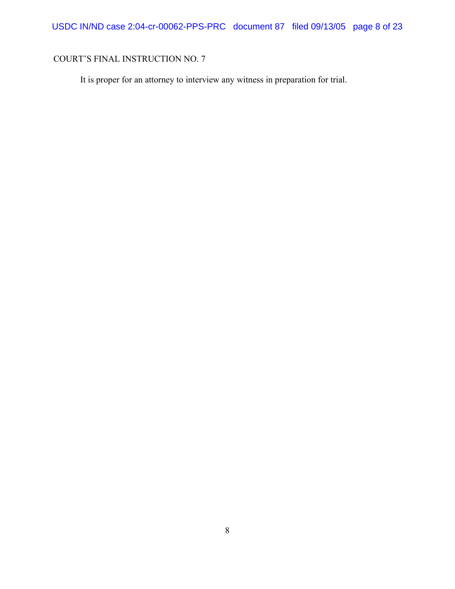It is proper for an attorney to interview any witness in preparation for trial.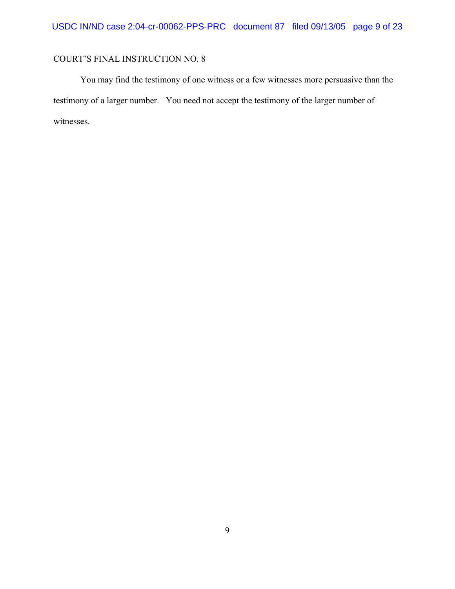You may find the testimony of one witness or a few witnesses more persuasive than the testimony of a larger number. You need not accept the testimony of the larger number of witnesses.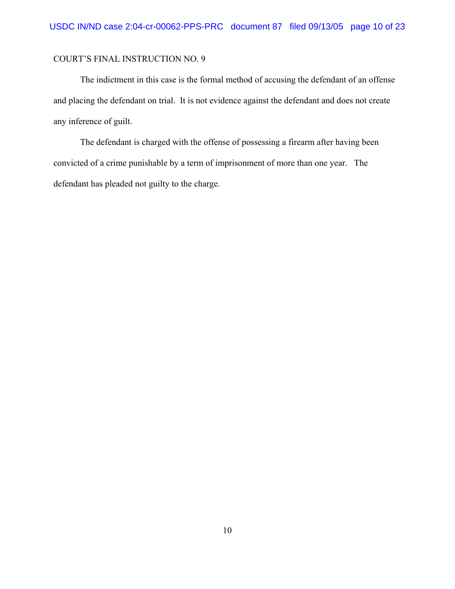The indictment in this case is the formal method of accusing the defendant of an offense and placing the defendant on trial. It is not evidence against the defendant and does not create any inference of guilt.

The defendant is charged with the offense of possessing a firearm after having been convicted of a crime punishable by a term of imprisonment of more than one year. The defendant has pleaded not guilty to the charge.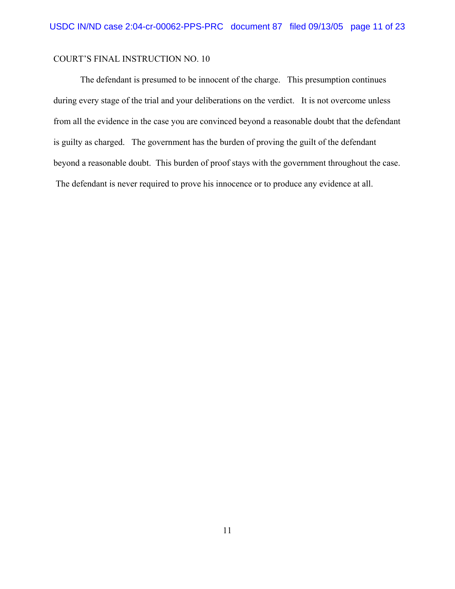The defendant is presumed to be innocent of the charge. This presumption continues during every stage of the trial and your deliberations on the verdict. It is not overcome unless from all the evidence in the case you are convinced beyond a reasonable doubt that the defendant is guilty as charged. The government has the burden of proving the guilt of the defendant beyond a reasonable doubt. This burden of proof stays with the government throughout the case. The defendant is never required to prove his innocence or to produce any evidence at all.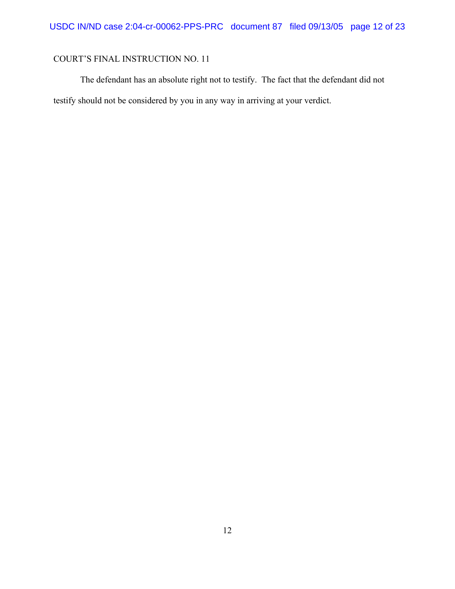The defendant has an absolute right not to testify. The fact that the defendant did not testify should not be considered by you in any way in arriving at your verdict.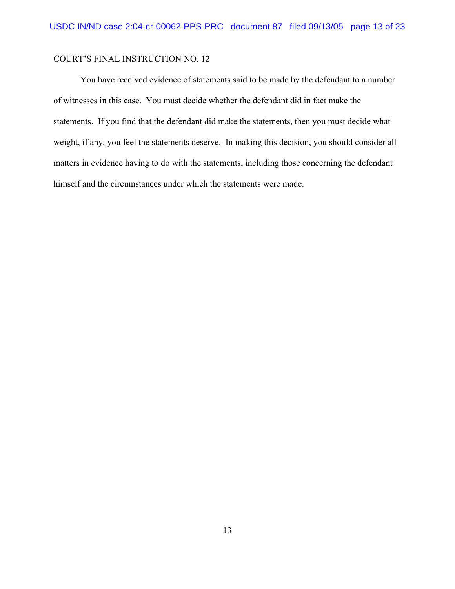You have received evidence of statements said to be made by the defendant to a number of witnesses in this case. You must decide whether the defendant did in fact make the statements. If you find that the defendant did make the statements, then you must decide what weight, if any, you feel the statements deserve. In making this decision, you should consider all matters in evidence having to do with the statements, including those concerning the defendant himself and the circumstances under which the statements were made.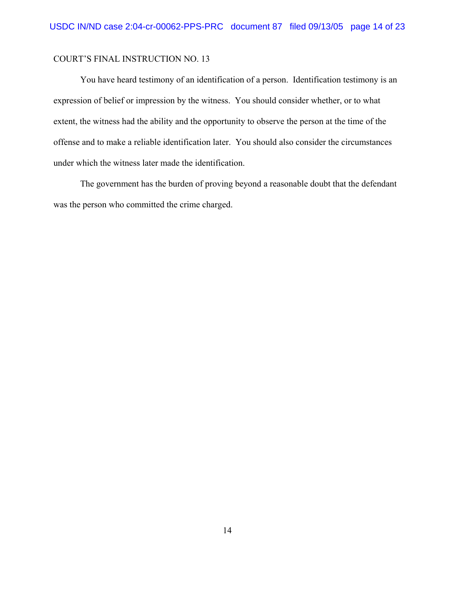You have heard testimony of an identification of a person. Identification testimony is an expression of belief or impression by the witness. You should consider whether, or to what extent, the witness had the ability and the opportunity to observe the person at the time of the offense and to make a reliable identification later. You should also consider the circumstances under which the witness later made the identification.

The government has the burden of proving beyond a reasonable doubt that the defendant was the person who committed the crime charged.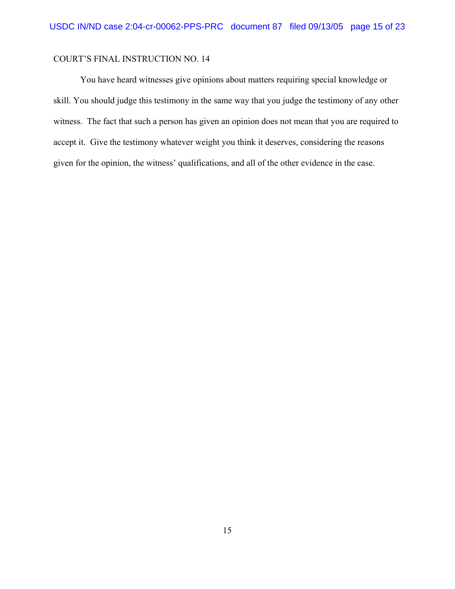You have heard witnesses give opinions about matters requiring special knowledge or skill. You should judge this testimony in the same way that you judge the testimony of any other witness. The fact that such a person has given an opinion does not mean that you are required to accept it. Give the testimony whatever weight you think it deserves, considering the reasons given for the opinion, the witness' qualifications, and all of the other evidence in the case.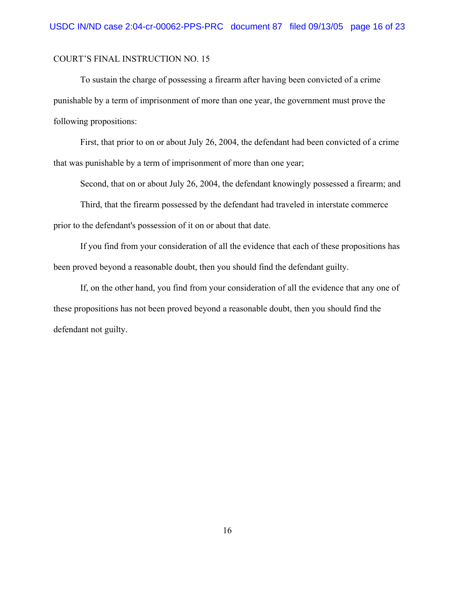To sustain the charge of possessing a firearm after having been convicted of a crime punishable by a term of imprisonment of more than one year, the government must prove the following propositions:

First, that prior to on or about July 26, 2004, the defendant had been convicted of a crime that was punishable by a term of imprisonment of more than one year;

Second, that on or about July 26, 2004, the defendant knowingly possessed a firearm; and

Third, that the firearm possessed by the defendant had traveled in interstate commerce prior to the defendant's possession of it on or about that date.

If you find from your consideration of all the evidence that each of these propositions has been proved beyond a reasonable doubt, then you should find the defendant guilty.

If, on the other hand, you find from your consideration of all the evidence that any one of these propositions has not been proved beyond a reasonable doubt, then you should find the defendant not guilty.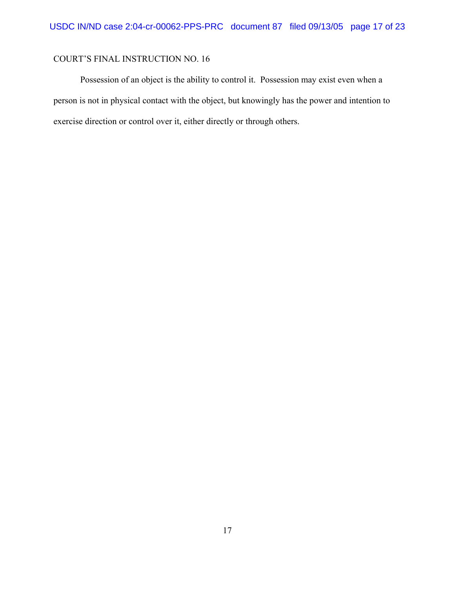Possession of an object is the ability to control it. Possession may exist even when a person is not in physical contact with the object, but knowingly has the power and intention to exercise direction or control over it, either directly or through others.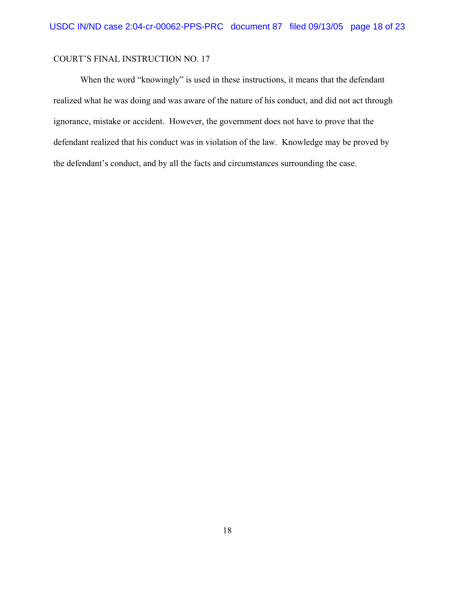When the word "knowingly" is used in these instructions, it means that the defendant realized what he was doing and was aware of the nature of his conduct, and did not act through ignorance, mistake or accident. However, the government does not have to prove that the defendant realized that his conduct was in violation of the law. Knowledge may be proved by the defendant's conduct, and by all the facts and circumstances surrounding the case.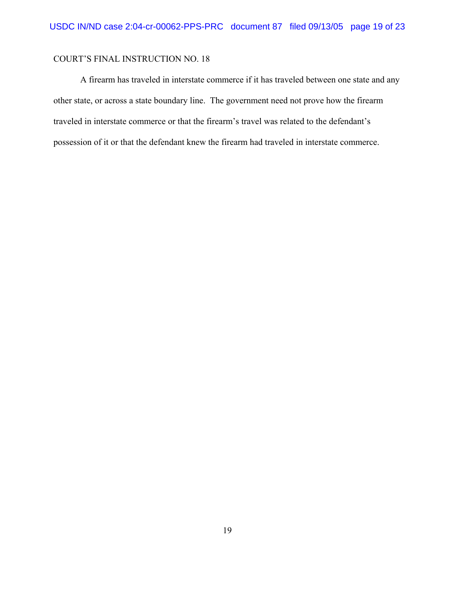A firearm has traveled in interstate commerce if it has traveled between one state and any other state, or across a state boundary line. The government need not prove how the firearm traveled in interstate commerce or that the firearm's travel was related to the defendant's possession of it or that the defendant knew the firearm had traveled in interstate commerce.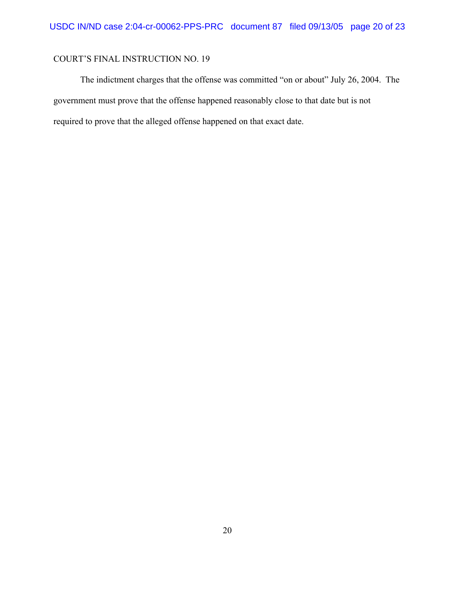The indictment charges that the offense was committed "on or about" July 26, 2004. The government must prove that the offense happened reasonably close to that date but is not required to prove that the alleged offense happened on that exact date.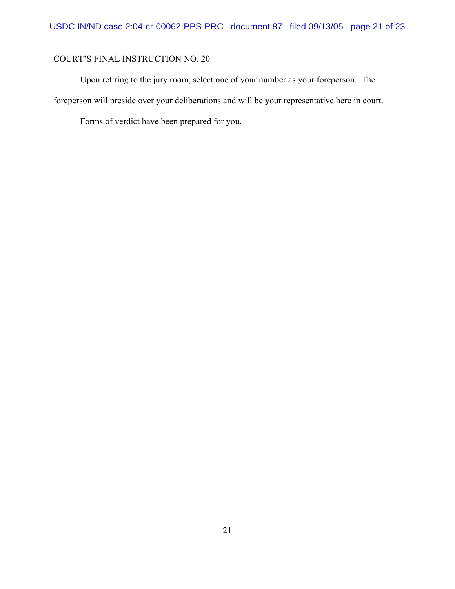Upon retiring to the jury room, select one of your number as your foreperson. The foreperson will preside over your deliberations and will be your representative here in court.

Forms of verdict have been prepared for you.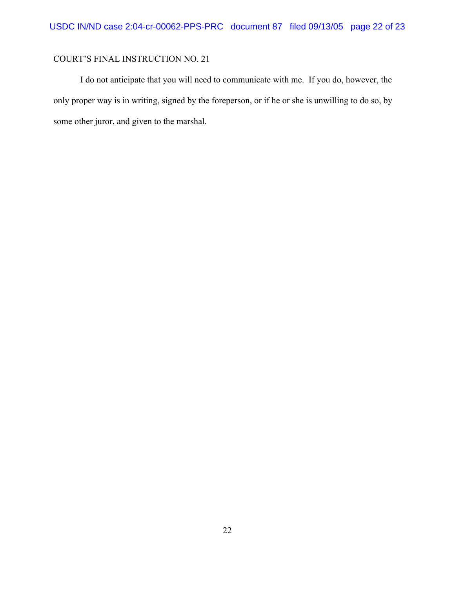I do not anticipate that you will need to communicate with me. If you do, however, the only proper way is in writing, signed by the foreperson, or if he or she is unwilling to do so, by some other juror, and given to the marshal.